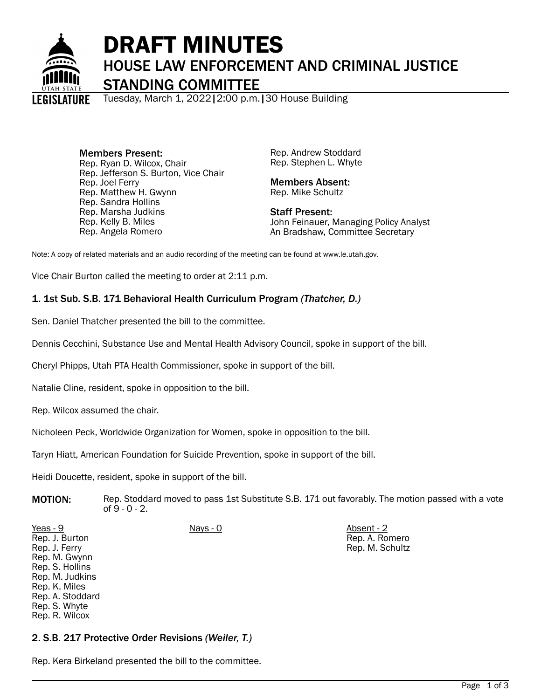

# DRAFT MINUTES HOUSE LAW ENFORCEMENT AND CRIMINAL JUSTICE STANDING COMMITTEE

Tuesday, March 1, 2022|2:00 p.m.|30 House Building

Members Present: Rep. Ryan D. Wilcox, Chair Rep. Jefferson S. Burton, Vice Chair Rep. Joel Ferry Rep. Matthew H. Gwynn Rep. Sandra Hollins Rep. Marsha Judkins Rep. Kelly B. Miles Rep. Angela Romero

Rep. Andrew Stoddard Rep. Stephen L. Whyte

Members Absent: Rep. Mike Schultz

Staff Present: John Feinauer, Managing Policy Analyst An Bradshaw, Committee Secretary

Note: A copy of related materials and an audio recording of the meeting can be found at www.le.utah.gov.

Vice Chair Burton called the meeting to order at 2:11 p.m.

# 1. 1st Sub. S.B. 171 Behavioral Health Curriculum Program *(Thatcher, D.)*

Sen. Daniel Thatcher presented the bill to the committee.

Dennis Cecchini, Substance Use and Mental Health Advisory Council, spoke in support of the bill.

Cheryl Phipps, Utah PTA Health Commissioner, spoke in support of the bill.

Natalie Cline, resident, spoke in opposition to the bill.

Rep. Wilcox assumed the chair.

Rep. R. Wilcox

Nicholeen Peck, Worldwide Organization for Women, spoke in opposition to the bill.

Taryn Hiatt, American Foundation for Suicide Prevention, spoke in support of the bill.

Heidi Doucette, resident, spoke in support of the bill.

**MOTION:** Rep. Stoddard moved to pass 1st Substitute S.B. 171 out favorably. The motion passed with a vote of 9 - 0 - 2.

| Yeas - 9         | <u>Nays - 0</u> | Absent - 2      |
|------------------|-----------------|-----------------|
| Rep. J. Burton   |                 | Rep. A. Romero  |
| Rep. J. Ferry    |                 | Rep. M. Schultz |
| Rep. M. Gwynn    |                 |                 |
| Rep. S. Hollins  |                 |                 |
| Rep. M. Judkins  |                 |                 |
| Rep. K. Miles    |                 |                 |
| Rep. A. Stoddard |                 |                 |
| Rep. S. Whyte    |                 |                 |

## 2. S.B. 217 Protective Order Revisions *(Weiler, T.)*

Rep. Kera Birkeland presented the bill to the committee.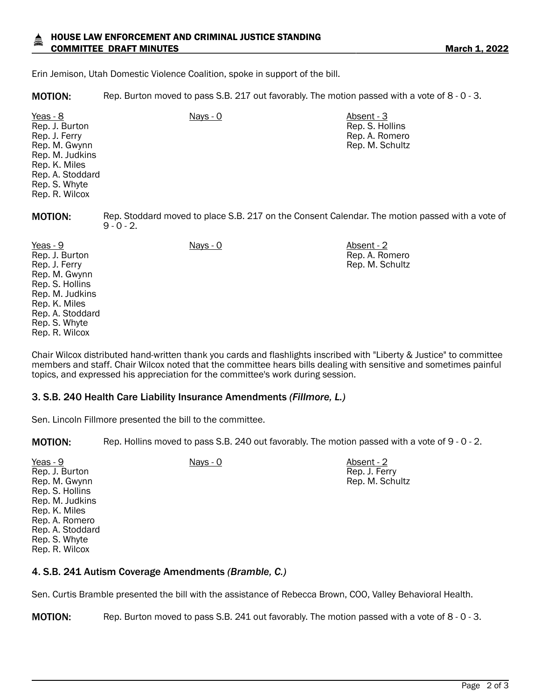### HOUSE LAW ENFORCEMENT AND CRIMINAL JUSTICE STANDING COMMITTEE DRAFT MINUTES **COMMITTEE 2022**

Erin Jemison, Utah Domestic Violence Coalition, spoke in support of the bill.

MOTION: Rep. Burton moved to pass S.B. 217 out favorably. The motion passed with a vote of 8 - 0 - 3.

Yeas - 8 Nays - 0 Absent - 3 Rep. J. Burton Rep. J. Ferry Rep. M. Gwynn Rep. M. Judkins Rep. K. Miles Rep. A. Stoddard Rep. S. Whyte Rep. R. Wilcox

**MOTION:** Rep. Stoddard moved to place S.B. 217 on the Consent Calendar. The motion passed with a vote of  $9 - 0 - 2$ .

Rep. S. Hollins Rep. A. Romero Rep. M. Schultz

Rep. A. Romero Rep. M. Schultz

Yeas - 9 Nays - 0 Absent - 2 Rep. J. Burton Rep. J. Ferry Rep. M. Gwynn Rep. S. Hollins Rep. M. Judkins Rep. K. Miles Rep. A. Stoddard Rep. S. Whyte Rep. R. Wilcox

Chair Wilcox distributed hand-written thank you cards and flashlights inscribed with "Liberty & Justice" to committee members and staff. Chair Wilcox noted that the committee hears bills dealing with sensitive and sometimes painful topics, and expressed his appreciation for the committee's work during session.

### 3. S.B. 240 Health Care Liability Insurance Amendments *(Fillmore, L.)*

Sen. Lincoln Fillmore presented the bill to the committee.

MOTION: Rep. Hollins moved to pass S.B. 240 out favorably. The motion passed with a vote of 9 - 0 - 2.

| Yeas - 9         | Nays - 0 | Absent - 2      |
|------------------|----------|-----------------|
| Rep. J. Burton   |          | Rep. J. Ferry   |
| Rep. M. Gwynn    |          | Rep. M. Schultz |
| Rep. S. Hollins  |          |                 |
| Rep. M. Judkins  |          |                 |
| Rep. K. Miles    |          |                 |
| Rep. A. Romero   |          |                 |
| Rep. A. Stoddard |          |                 |
| Rep. S. Whyte    |          |                 |
| Rep. R. Wilcox   |          |                 |

### 4. S.B. 241 Autism Coverage Amendments *(Bramble, C.)*

Sen. Curtis Bramble presented the bill with the assistance of Rebecca Brown, COO, Valley Behavioral Health.

MOTION: Rep. Burton moved to pass S.B. 241 out favorably. The motion passed with a vote of 8 - 0 - 3.